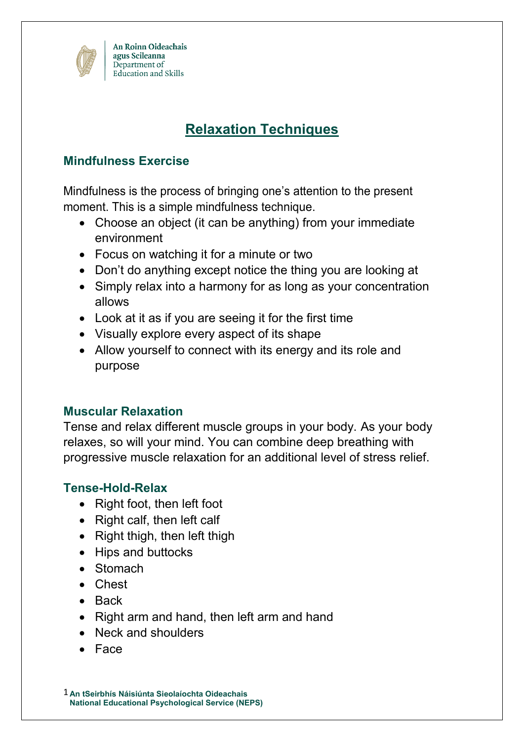

# **Relaxation Techniques**

## **Mindfulness Exercise**

Mindfulness is the process of bringing one's attention to the present moment. This is a simple mindfulness technique.

- Choose an object (it can be anything) from your immediate environment
- Focus on watching it for a minute or two
- Don't do anything except notice the thing you are looking at
- Simply relax into a harmony for as long as your concentration allows
- Look at it as if you are seeing it for the first time
- Visually explore every aspect of its shape
- Allow yourself to connect with its energy and its role and purpose

## **Muscular Relaxation**

Tense and relax different muscle groups in your body. As your body relaxes, so will your mind. You can combine deep breathing with progressive muscle relaxation for an additional level of stress relief.

## **Tense-Hold-Relax**

- Right foot, then left foot
- Right calf, then left calf
- Right thigh, then left thigh
- Hips and buttocks
- Stomach
- Chest
- Back
- Right arm and hand, then left arm and hand
- Neck and shoulders
- Face

1 **An tSeirbhís Náisiúnta Sieolaíochta Oideachais National Educational Psychological Service (NEPS)**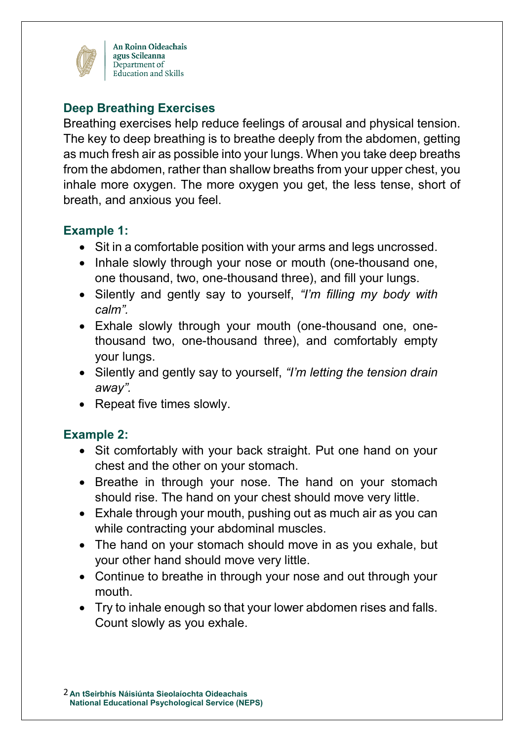

An Roinn Oideachais agus Scileanna Department of Education and Skills

# **Deep Breathing Exercises**

Breathing exercises help reduce feelings of arousal and physical tension. The key to deep breathing is to breathe deeply from the abdomen, getting as much fresh air as possible into your lungs. When you take deep breaths from the abdomen, rather than shallow breaths from your upper chest, you inhale more oxygen. The more oxygen you get, the less tense, short of breath, and anxious you feel.

## **Example 1:**

- Sit in a comfortable position with your arms and legs uncrossed.
- Inhale slowly through your nose or mouth (one-thousand one, one thousand, two, one-thousand three), and fill your lungs.
- Silently and gently say to yourself, *"I'm filling my body with calm".*
- Exhale slowly through your mouth (one-thousand one, onethousand two, one-thousand three), and comfortably empty your lungs.
- Silently and gently say to yourself, *"I'm letting the tension drain away".*
- Repeat five times slowly.

# **Example 2:**

- Sit comfortably with your back straight. Put one hand on your chest and the other on your stomach.
- Breathe in through your nose. The hand on your stomach should rise. The hand on your chest should move very little.
- Exhale through your mouth, pushing out as much air as you can while contracting your abdominal muscles.
- The hand on your stomach should move in as you exhale, but your other hand should move very little.
- Continue to breathe in through your nose and out through your mouth.
- Try to inhale enough so that your lower abdomen rises and falls. Count slowly as you exhale.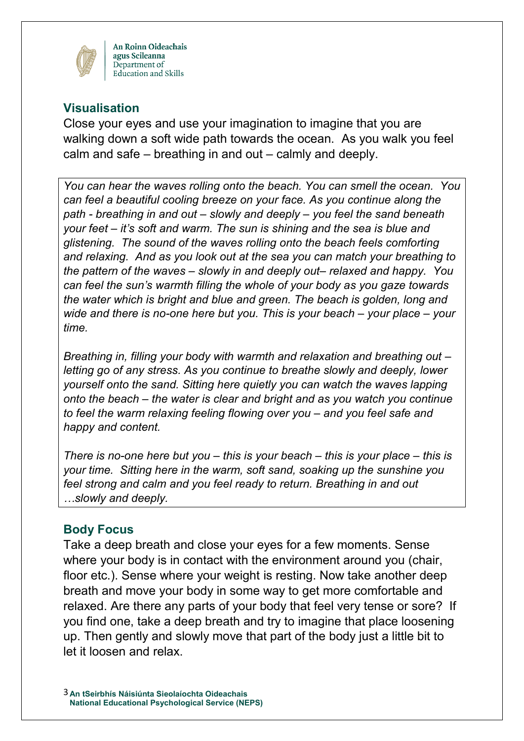

An Roinn Oideachais agus Scileanna Department of Education and Skills

#### **Visualisation**

Close your eyes and use your imagination to imagine that you are walking down a soft wide path towards the ocean. As you walk you feel calm and safe – breathing in and out – calmly and deeply.

*You can hear the waves rolling onto the beach. You can smell the ocean. You can feel a beautiful cooling breeze on your face. As you continue along the path - breathing in and out – slowly and deeply – you feel the sand beneath your feet – it's soft and warm. The sun is shining and the sea is blue and glistening. The sound of the waves rolling onto the beach feels comforting and relaxing. And as you look out at the sea you can match your breathing to the pattern of the waves – slowly in and deeply out– relaxed and happy. You can feel the sun's warmth filling the whole of your body as you gaze towards the water which is bright and blue and green. The beach is golden, long and wide and there is no-one here but you. This is your beach – your place – your time.*

*Breathing in, filling your body with warmth and relaxation and breathing out – letting go of any stress. As you continue to breathe slowly and deeply, lower yourself onto the sand. Sitting here quietly you can watch the waves lapping onto the beach – the water is clear and bright and as you watch you continue to feel the warm relaxing feeling flowing over you – and you feel safe and happy and content.* 

*There is no-one here but you – this is your beach – this is your place – this is your time. Sitting here in the warm, soft sand, soaking up the sunshine you feel strong and calm and you feel ready to return. Breathing in and out …slowly and deeply.* 

#### **Body Focus**

Take a deep breath and close your eyes for a few moments. Sense where your body is in contact with the environment around you (chair, floor etc.). Sense where your weight is resting. Now take another deep breath and move your body in some way to get more comfortable and relaxed. Are there any parts of your body that feel very tense or sore? If you find one, take a deep breath and try to imagine that place loosening up. Then gently and slowly move that part of the body just a little bit to let it loosen and relax.